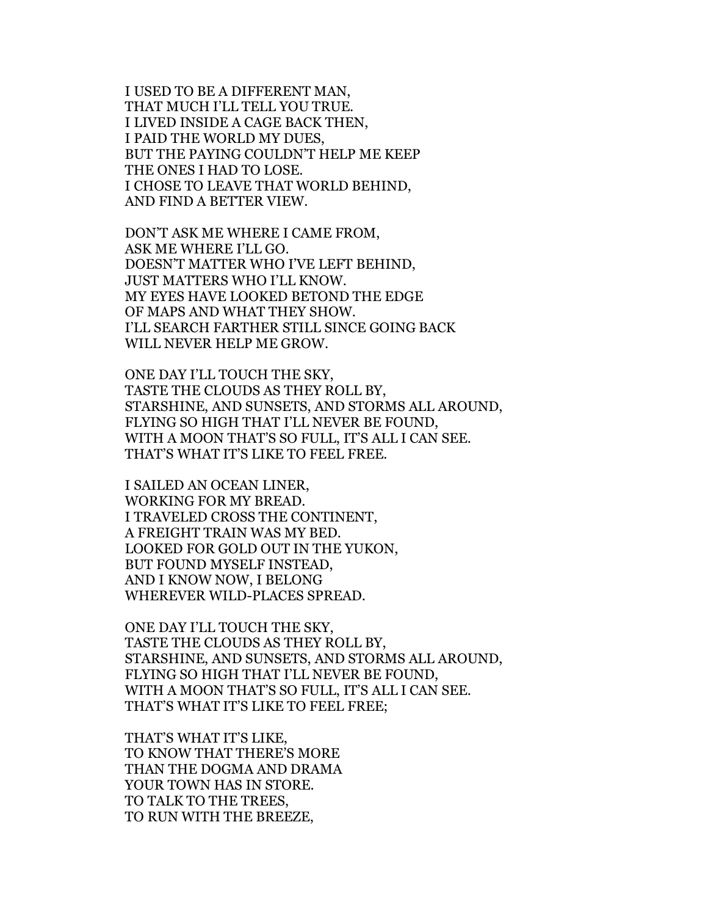I USED TO BE A DIFFERENT MAN, THAT MUCH I'LL TELL YOU TRUE. I LIVED INSIDE A CAGE BACK THEN, I PAID THE WORLD MY DUES, BUT THE PAYING COULDN'T HELP ME KEEP THE ONES I HAD TO LOSE. I CHOSE TO LEAVE THAT WORLD BEHIND, AND FIND A BETTER VIEW.

DON'T ASK ME WHERE I CAME FROM, ASK ME WHERE I'LL GO. DOESN'T MATTER WHO I'VE LEFT BEHIND, JUST MATTERS WHO I'LL KNOW. MY EYES HAVE LOOKED BETOND THE EDGE OF MAPS AND WHAT THEY SHOW. I'LL SEARCH FARTHER STILL SINCE GOING BACK WILL NEVER HELP ME GROW.

ONE DAY I'LL TOUCH THE SKY, TASTE THE CLOUDS AS THEY ROLL BY, STARSHINE, AND SUNSETS, AND STORMS ALL AROUND, FLYING SO HIGH THAT I'LL NEVER BE FOUND, WITH A MOON THAT'S SO FULL, IT'S ALL I CAN SEE. THAT'S WHAT IT'S LIKE TO FEEL FREE.

I SAILED AN OCEAN LINER, WORKING FOR MY BREAD. I TRAVELED CROSS THE CONTINENT, A FREIGHT TRAIN WAS MY BED. LOOKED FOR GOLD OUT IN THE YUKON, BUT FOUND MYSELF INSTEAD, AND I KNOW NOW, I BELONG WHEREVER WILD-PLACES SPREAD.

ONE DAY I'LL TOUCH THE SKY, TASTE THE CLOUDS AS THEY ROLL BY, STARSHINE, AND SUNSETS, AND STORMS ALL AROUND, FLYING SO HIGH THAT I'LL NEVER BE FOUND, WITH A MOON THAT'S SO FULL, IT'S ALL I CAN SEE. THAT'S WHAT IT'S LIKE TO FEEL FREE;

THAT'S WHAT IT'S LIKE, TO KNOW THAT THERE'S MORE THAN THE DOGMA AND DRAMA YOUR TOWN HAS IN STORE. TO TALK TO THE TREES, TO RUN WITH THE BREEZE,